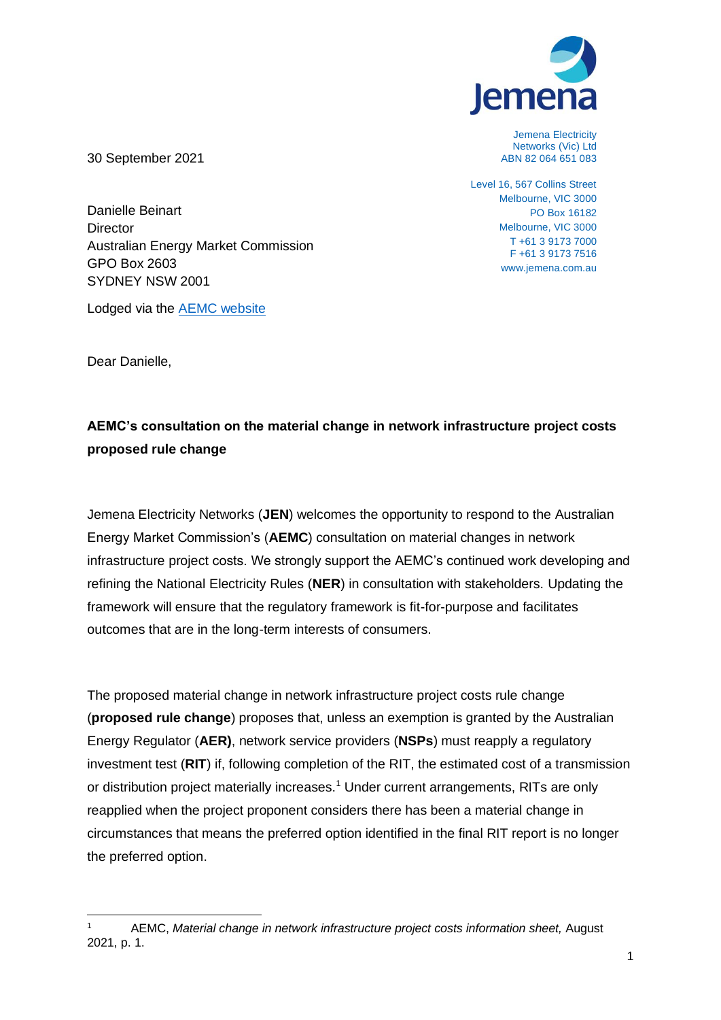

Jemena Electricity Networks (Vic) Ltd ABN 82 064 651 083

Level 16, 567 Collins Street Melbourne, VIC 3000 PO Box 16182 Melbourne, VIC 3000 T +61 3 9173 7000 F +61 3 9173 7516 www.jemena.com.au

30 September 2021

Danielle Beinart **Director** Australian Energy Market Commission GPO Box 2603 SYDNEY NSW 2001

Lodged via the [AEMC website](https://www.aemc.gov.au/contact-us/lodge-submission)

Dear Danielle,

### **AEMC's consultation on the material change in network infrastructure project costs proposed rule change**

Jemena Electricity Networks (**JEN**) welcomes the opportunity to respond to the Australian Energy Market Commission's (**AEMC**) consultation on material changes in network infrastructure project costs. We strongly support the AEMC's continued work developing and refining the National Electricity Rules (**NER**) in consultation with stakeholders. Updating the framework will ensure that the regulatory framework is fit-for-purpose and facilitates outcomes that are in the long-term interests of consumers.

The proposed material change in network infrastructure project costs rule change (**proposed rule change**) proposes that, unless an exemption is granted by the Australian Energy Regulator (**AER)**, network service providers (**NSPs**) must reapply a regulatory investment test (**RIT**) if, following completion of the RIT, the estimated cost of a transmission or distribution project materially increases.<sup>1</sup> Under current arrangements, RITs are only reapplied when the project proponent considers there has been a material change in circumstances that means the preferred option identified in the final RIT report is no longer the preferred option.

<sup>1</sup> AEMC, *Material change in network infrastructure project costs information sheet,* August 2021, p. 1.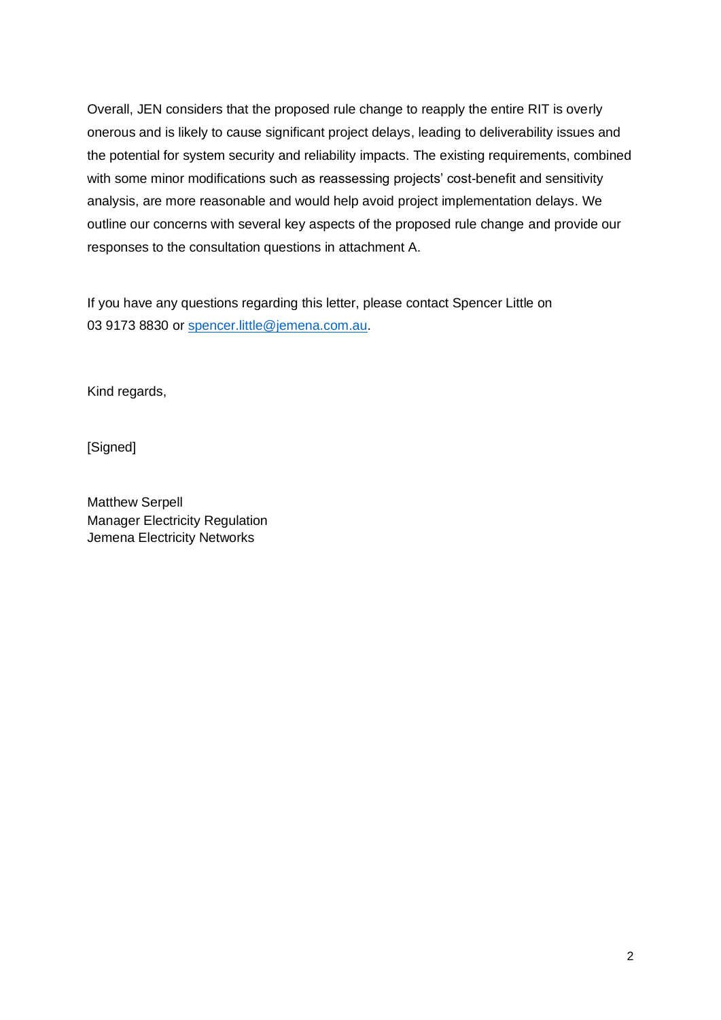Overall, JEN considers that the proposed rule change to reapply the entire RIT is overly onerous and is likely to cause significant project delays, leading to deliverability issues and the potential for system security and reliability impacts. The existing requirements, combined with some minor modifications such as reassessing projects' cost-benefit and sensitivity analysis, are more reasonable and would help avoid project implementation delays. We outline our concerns with several key aspects of the proposed rule change and provide our responses to the consultation questions in attachment A.

If you have any questions regarding this letter, please contact Spencer Little on 03 9173 8830 or [spencer.little@jemena.com.au.](mailto:spencer.little@jemena.com.au)

Kind regards,

[Signed]

Matthew Serpell Manager Electricity Regulation Jemena Electricity Networks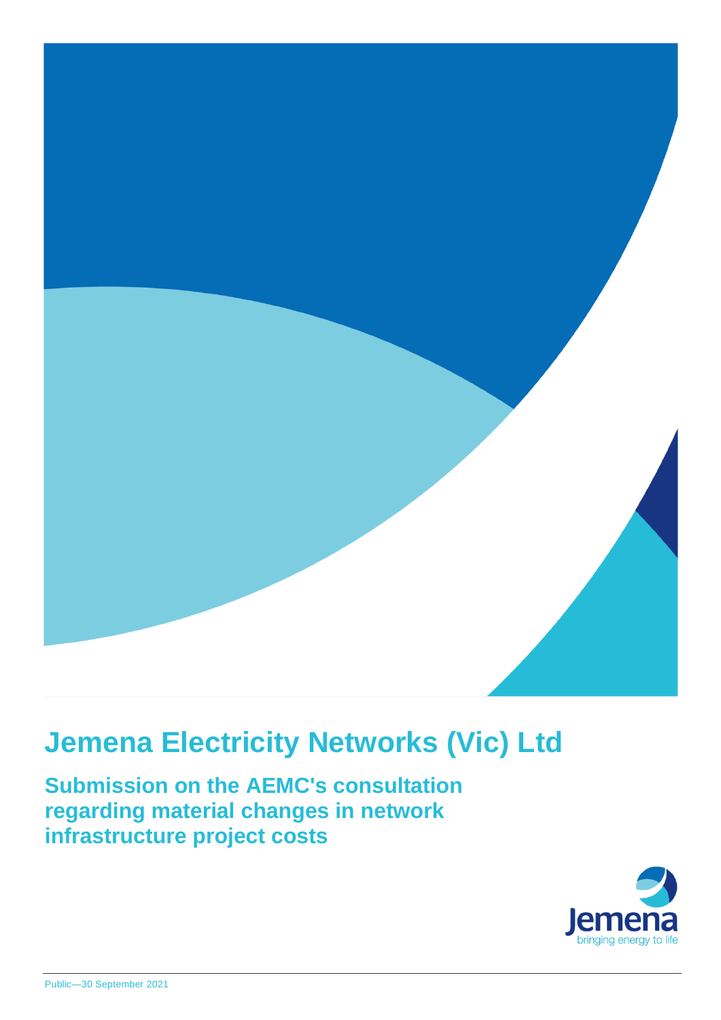

# **Jemena Electricity Networks (Vic) Ltd**

**Submission on the AEMC's consultation regarding material changes in network infrastructure project costs**

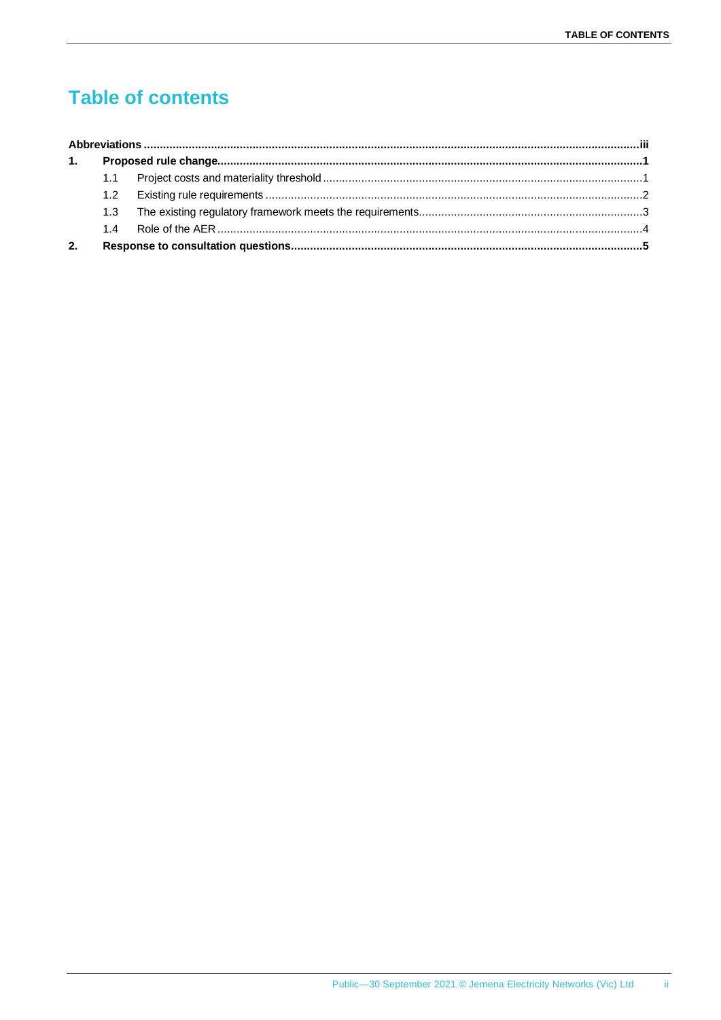# **Table of contents**

| 1. |     |  |  |  |
|----|-----|--|--|--|
|    |     |  |  |  |
|    |     |  |  |  |
|    | 1.3 |  |  |  |
|    | 14  |  |  |  |
| 2. |     |  |  |  |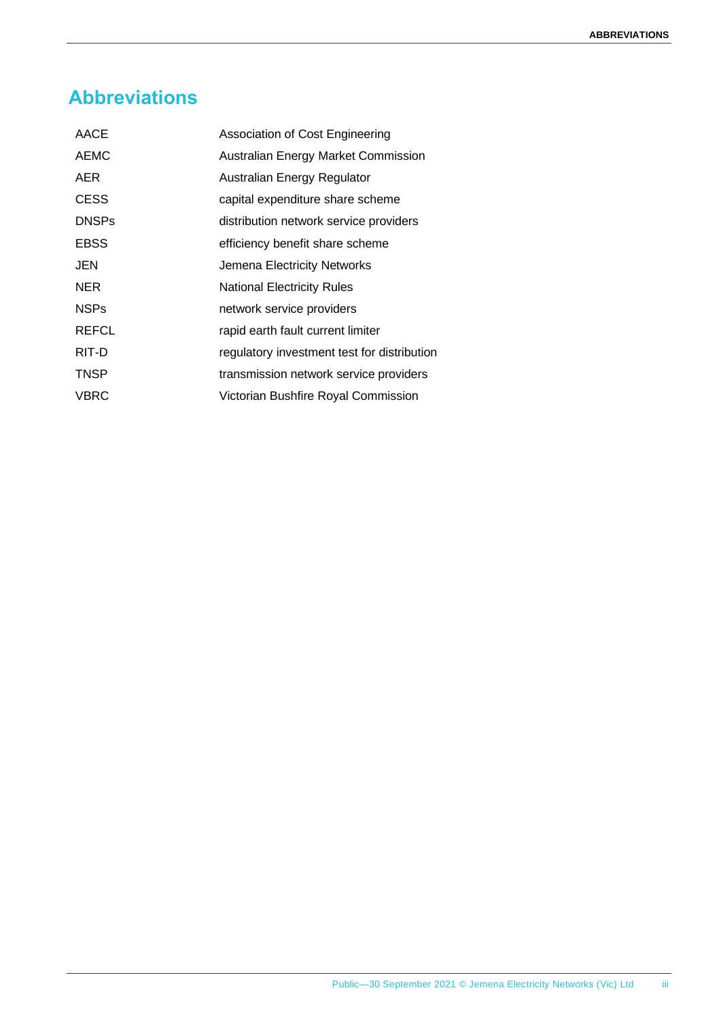## <span id="page-4-0"></span>**Abbreviations**

| AACE         | Association of Cost Engineering             |
|--------------|---------------------------------------------|
| <b>AEMC</b>  | Australian Energy Market Commission         |
| AER.         | Australian Energy Regulator                 |
| <b>CESS</b>  | capital expenditure share scheme            |
| <b>DNSPs</b> | distribution network service providers      |
| <b>EBSS</b>  | efficiency benefit share scheme             |
| <b>JEN</b>   | Jemena Electricity Networks                 |
| <b>NER</b>   | <b>National Electricity Rules</b>           |
| <b>NSPs</b>  | network service providers                   |
| <b>REFCL</b> | rapid earth fault current limiter           |
| RIT-D        | regulatory investment test for distribution |
| <b>TNSP</b>  | transmission network service providers      |
| <b>VBRC</b>  | Victorian Bushfire Royal Commission         |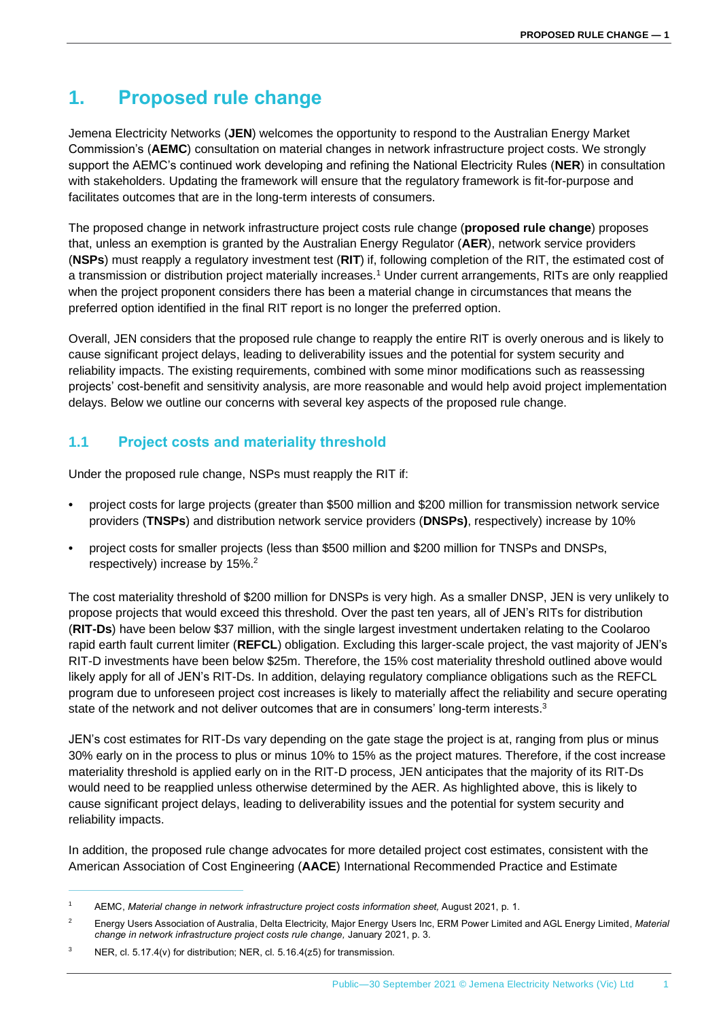### <span id="page-5-0"></span>**1. Proposed rule change**

Jemena Electricity Networks (**JEN**) welcomes the opportunity to respond to the Australian Energy Market Commission's (**AEMC**) consultation on material changes in network infrastructure project costs. We strongly support the AEMC's continued work developing and refining the National Electricity Rules (**NER**) in consultation with stakeholders. Updating the framework will ensure that the regulatory framework is fit-for-purpose and facilitates outcomes that are in the long-term interests of consumers.

The proposed change in network infrastructure project costs rule change (**proposed rule change**) proposes that, unless an exemption is granted by the Australian Energy Regulator (**AER**), network service providers (**NSPs**) must reapply a regulatory investment test (**RIT**) if, following completion of the RIT, the estimated cost of a transmission or distribution project materially increases.<sup>1</sup> Under current arrangements, RITs are only reapplied when the project proponent considers there has been a material change in circumstances that means the preferred option identified in the final RIT report is no longer the preferred option.

Overall, JEN considers that the proposed rule change to reapply the entire RIT is overly onerous and is likely to cause significant project delays, leading to deliverability issues and the potential for system security and reliability impacts. The existing requirements, combined with some minor modifications such as reassessing projects' cost-benefit and sensitivity analysis, are more reasonable and would help avoid project implementation delays. Below we outline our concerns with several key aspects of the proposed rule change.

#### <span id="page-5-1"></span>**1.1 Project costs and materiality threshold**

Under the proposed rule change, NSPs must reapply the RIT if:

- project costs for large projects (greater than \$500 million and \$200 million for transmission network service providers (**TNSPs**) and distribution network service providers (**DNSPs)**, respectively) increase by 10%
- project costs for smaller projects (less than \$500 million and \$200 million for TNSPs and DNSPs, respectively) increase by 15%.<sup>2</sup>

The cost materiality threshold of \$200 million for DNSPs is very high. As a smaller DNSP, JEN is very unlikely to propose projects that would exceed this threshold. Over the past ten years, all of JEN's RITs for distribution (**RIT-Ds**) have been below \$37 million, with the single largest investment undertaken relating to the Coolaroo rapid earth fault current limiter (**REFCL**) obligation. Excluding this larger-scale project, the vast majority of JEN's RIT-D investments have been below \$25m. Therefore, the 15% cost materiality threshold outlined above would likely apply for all of JEN's RIT-Ds. In addition, delaying regulatory compliance obligations such as the REFCL program due to unforeseen project cost increases is likely to materially affect the reliability and secure operating state of the network and not deliver outcomes that are in consumers' long-term interests.<sup>3</sup>

JEN's cost estimates for RIT-Ds vary depending on the gate stage the project is at, ranging from plus or minus 30% early on in the process to plus or minus 10% to 15% as the project matures. Therefore, if the cost increase materiality threshold is applied early on in the RIT-D process, JEN anticipates that the majority of its RIT-Ds would need to be reapplied unless otherwise determined by the AER. As highlighted above, this is likely to cause significant project delays, leading to deliverability issues and the potential for system security and reliability impacts.

In addition, the proposed rule change advocates for more detailed project cost estimates, consistent with the American Association of Cost Engineering (**AACE**) International Recommended Practice and Estimate

<sup>1</sup> AEMC, *Material change in network infrastructure project costs information sheet,* August 2021, p. 1.

<sup>2</sup> Energy Users Association of Australia, Delta Electricity, Major Energy Users Inc, ERM Power Limited and AGL Energy Limited, *Material change in network infrastructure project costs rule change,* January 2021, p. 3.

<sup>&</sup>lt;sup>3</sup> NER, cl. 5.17.4(v) for distribution: NER, cl. 5.16.4( $z$ 5) for transmission.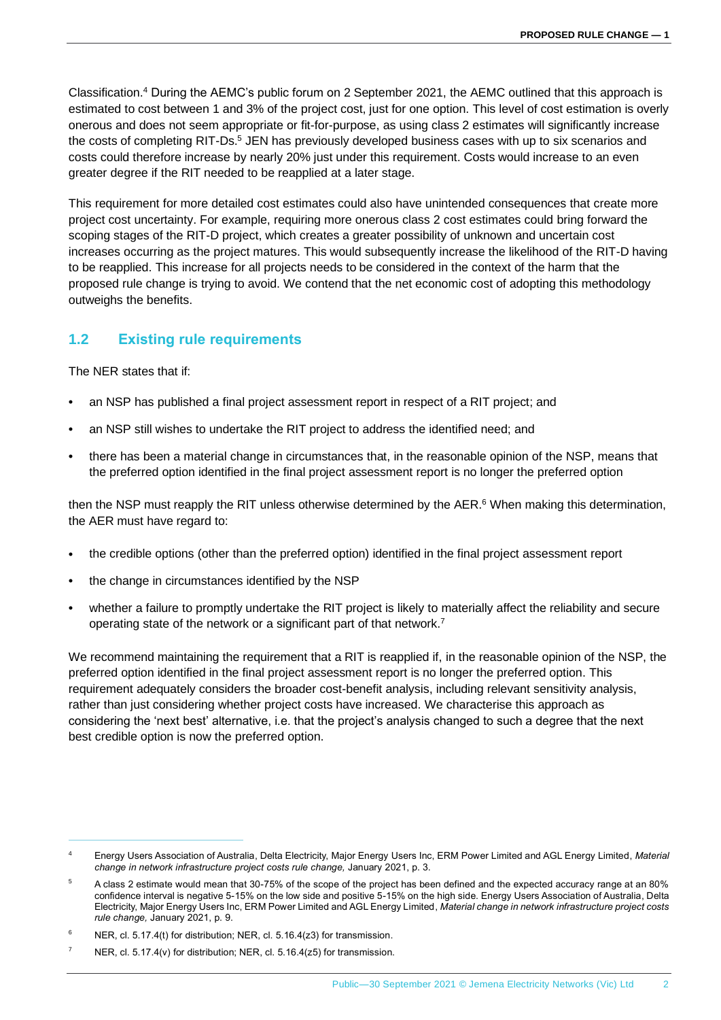Classification. <sup>4</sup> During the AEMC's public forum on 2 September 2021, the AEMC outlined that this approach is estimated to cost between 1 and 3% of the project cost, just for one option. This level of cost estimation is overly onerous and does not seem appropriate or fit-for-purpose, as using class 2 estimates will significantly increase the costs of completing RIT-Ds.<sup>5</sup> JEN has previously developed business cases with up to six scenarios and costs could therefore increase by nearly 20% just under this requirement. Costs would increase to an even greater degree if the RIT needed to be reapplied at a later stage.

This requirement for more detailed cost estimates could also have unintended consequences that create more project cost uncertainty. For example, requiring more onerous class 2 cost estimates could bring forward the scoping stages of the RIT-D project, which creates a greater possibility of unknown and uncertain cost increases occurring as the project matures. This would subsequently increase the likelihood of the RIT-D having to be reapplied. This increase for all projects needs to be considered in the context of the harm that the proposed rule change is trying to avoid. We contend that the net economic cost of adopting this methodology outweighs the benefits.

#### <span id="page-6-0"></span>**1.2 Existing rule requirements**

The NER states that if:

- an NSP has published a final project assessment report in respect of a RIT project; and
- an NSP still wishes to undertake the RIT project to address the identified need; and
- there has been a material change in circumstances that, in the reasonable opinion of the NSP, means that the preferred option identified in the final project assessment report is no longer the preferred option

then the NSP must reapply the RIT unless otherwise determined by the AER.<sup>6</sup> When making this determination, the AER must have regard to:

- the credible options (other than the preferred option) identified in the final project assessment report
- the change in circumstances identified by the NSP
- whether a failure to promptly undertake the RIT project is likely to materially affect the reliability and secure operating state of the network or a significant part of that network.<sup>7</sup>

We recommend maintaining the requirement that a RIT is reapplied if, in the reasonable opinion of the NSP, the preferred option identified in the final project assessment report is no longer the preferred option. This requirement adequately considers the broader cost-benefit analysis, including relevant sensitivity analysis, rather than just considering whether project costs have increased. We characterise this approach as considering the 'next best' alternative, i.e. that the project's analysis changed to such a degree that the next best credible option is now the preferred option.

<sup>4</sup> Energy Users Association of Australia, Delta Electricity, Major Energy Users Inc, ERM Power Limited and AGL Energy Limited, *Material change in network infrastructure project costs rule change,* January 2021, p. 3.

<sup>5</sup> A class 2 estimate would mean that 30-75% of the scope of the project has been defined and the expected accuracy range at an 80% confidence interval is negative 5-15% on the low side and positive 5-15% on the high side. Energy Users Association of Australia, Delta Electricity, Major Energy Users Inc, ERM Power Limited and AGL Energy Limited, *Material change in network infrastructure project costs rule change,* January 2021, p. 9.

NER, cl. 5.17.4(t) for distribution; NER, cl. 5.16.4(z3) for transmission.

NER, cl. 5.17.4(v) for distribution: NER, cl. 5.16.4(z5) for transmission.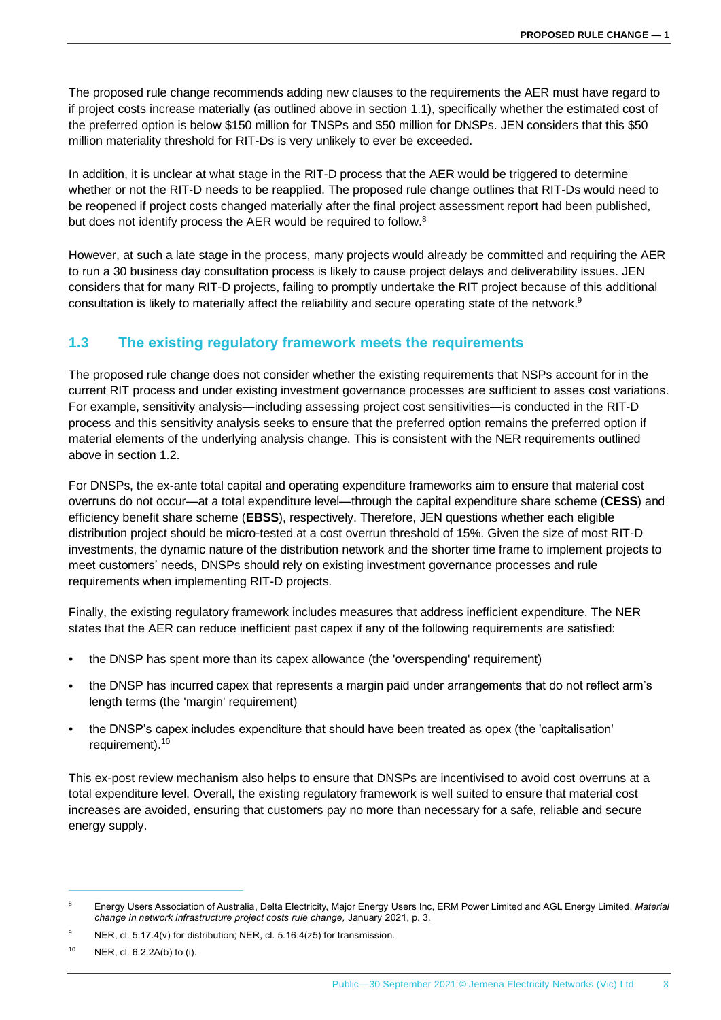The proposed rule change recommends adding new clauses to the requirements the AER must have regard to if project costs increase materially (as outlined above in section [1.1\)](#page-5-1), specifically whether the estimated cost of the preferred option is below \$150 million for TNSPs and \$50 million for DNSPs. JEN considers that this \$50 million materiality threshold for RIT-Ds is very unlikely to ever be exceeded.

In addition, it is unclear at what stage in the RIT-D process that the AER would be triggered to determine whether or not the RIT-D needs to be reapplied. The proposed rule change outlines that RIT-Ds would need to be reopened if project costs changed materially after the final project assessment report had been published, but does not identify process the AER would be required to follow.<sup>8</sup>

However, at such a late stage in the process, many projects would already be committed and requiring the AER to run a 30 business day consultation process is likely to cause project delays and deliverability issues. JEN considers that for many RIT-D projects, failing to promptly undertake the RIT project because of this additional consultation is likely to materially affect the reliability and secure operating state of the network.<sup>9</sup>

#### <span id="page-7-0"></span>**1.3 The existing regulatory framework meets the requirements**

The proposed rule change does not consider whether the existing requirements that NSPs account for in the current RIT process and under existing investment governance processes are sufficient to asses cost variations. For example, sensitivity analysis—including assessing project cost sensitivities—is conducted in the RIT-D process and this sensitivity analysis seeks to ensure that the preferred option remains the preferred option if material elements of the underlying analysis change. This is consistent with the NER requirements outlined above in section [1.2.](#page-6-0)

For DNSPs, the ex-ante total capital and operating expenditure frameworks aim to ensure that material cost overruns do not occur—at a total expenditure level—through the capital expenditure share scheme (**CESS**) and efficiency benefit share scheme (**EBSS**), respectively. Therefore, JEN questions whether each eligible distribution project should be micro-tested at a cost overrun threshold of 15%. Given the size of most RIT-D investments, the dynamic nature of the distribution network and the shorter time frame to implement projects to meet customers' needs, DNSPs should rely on existing investment governance processes and rule requirements when implementing RIT-D projects.

Finally, the existing regulatory framework includes measures that address inefficient expenditure. The NER states that the AER can reduce inefficient past capex if any of the following requirements are satisfied:

- the DNSP has spent more than its capex allowance (the 'overspending' requirement)
- the DNSP has incurred capex that represents a margin paid under arrangements that do not reflect arm's length terms (the 'margin' requirement)
- the DNSP's capex includes expenditure that should have been treated as opex (the 'capitalisation' requirement).<sup>10</sup>

This ex-post review mechanism also helps to ensure that DNSPs are incentivised to avoid cost overruns at a total expenditure level. Overall, the existing regulatory framework is well suited to ensure that material cost increases are avoided, ensuring that customers pay no more than necessary for a safe, reliable and secure energy supply.

<sup>8</sup> Energy Users Association of Australia, Delta Electricity, Major Energy Users Inc, ERM Power Limited and AGL Energy Limited, *Material change in network infrastructure project costs rule change,* January 2021, p. 3.

<sup>&</sup>lt;sup>9</sup> NER, cl. 5.17.4(v) for distribution; NER, cl. 5.16.4( $z$ 5) for transmission.

 $10$  NER, cl. 6.2.2A(b) to (i).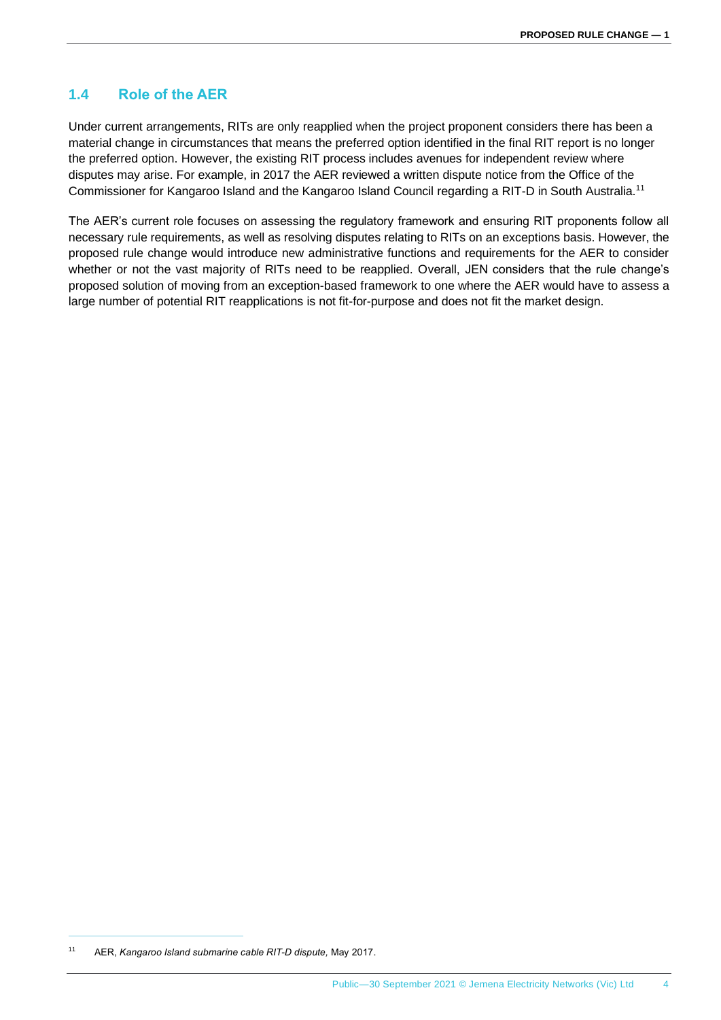#### <span id="page-8-0"></span>**1.4 Role of the AER**

Under current arrangements, RITs are only reapplied when the project proponent considers there has been a material change in circumstances that means the preferred option identified in the final RIT report is no longer the preferred option. However, the existing RIT process includes avenues for independent review where disputes may arise. For example, in 2017 the AER reviewed a written dispute notice from the Office of the Commissioner for Kangaroo Island and the Kangaroo Island Council regarding a RIT-D in South Australia.<sup>11</sup>

The AER's current role focuses on assessing the regulatory framework and ensuring RIT proponents follow all necessary rule requirements, as well as resolving disputes relating to RITs on an exceptions basis. However, the proposed rule change would introduce new administrative functions and requirements for the AER to consider whether or not the vast majority of RITs need to be reapplied. Overall, JEN considers that the rule change's proposed solution of moving from an exception-based framework to one where the AER would have to assess a large number of potential RIT reapplications is not fit-for-purpose and does not fit the market design.

<sup>11</sup> AER, *Kangaroo Island submarine cable RIT-D dispute,* May 2017.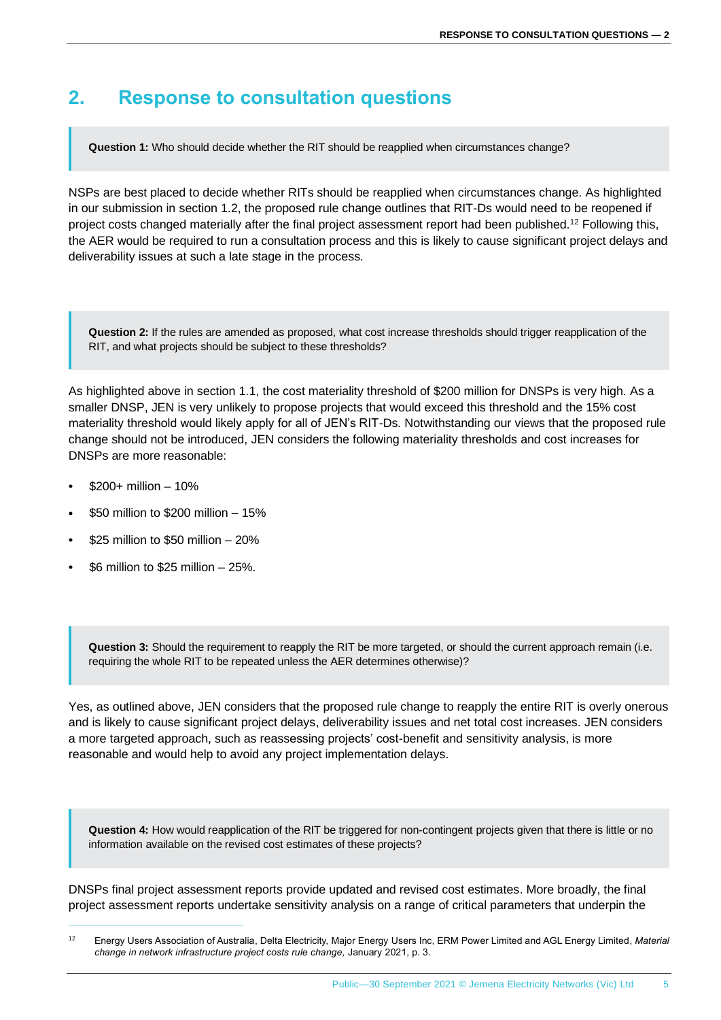### <span id="page-9-0"></span>**2. Response to consultation questions**

**Question 1:** Who should decide whether the RIT should be reapplied when circumstances change?

NSPs are best placed to decide whether RITs should be reapplied when circumstances change. As highlighted in our submission in section [1.2,](#page-6-0) the proposed rule change outlines that RIT-Ds would need to be reopened if project costs changed materially after the final project assessment report had been published.<sup>12</sup> Following this, the AER would be required to run a consultation process and this is likely to cause significant project delays and deliverability issues at such a late stage in the process.

**Question 2:** If the rules are amended as proposed, what cost increase thresholds should trigger reapplication of the RIT, and what projects should be subject to these thresholds?

As highlighted above in section [1.1,](#page-5-1) the cost materiality threshold of \$200 million for DNSPs is very high. As a smaller DNSP, JEN is very unlikely to propose projects that would exceed this threshold and the 15% cost materiality threshold would likely apply for all of JEN's RIT-Ds. Notwithstanding our views that the proposed rule change should not be introduced, JEN considers the following materiality thresholds and cost increases for DNSPs are more reasonable:

- $$200+$  million  $-10\%$
- \$50 million to \$200 million 15%
- \$25 million to \$50 million 20%
- \$6 million to \$25 million  $-25%$ .

**Question 3:** Should the requirement to reapply the RIT be more targeted, or should the current approach remain (i.e. requiring the whole RIT to be repeated unless the AER determines otherwise)?

Yes, as outlined above, JEN considers that the proposed rule change to reapply the entire RIT is overly onerous and is likely to cause significant project delays, deliverability issues and net total cost increases. JEN considers a more targeted approach, such as reassessing projects' cost-benefit and sensitivity analysis, is more reasonable and would help to avoid any project implementation delays.

**Question 4:** How would reapplication of the RIT be triggered for non-contingent projects given that there is little or no information available on the revised cost estimates of these projects?

DNSPs final project assessment reports provide updated and revised cost estimates. More broadly, the final project assessment reports undertake sensitivity analysis on a range of critical parameters that underpin the

<sup>12</sup> Energy Users Association of Australia, Delta Electricity, Major Energy Users Inc, ERM Power Limited and AGL Energy Limited, *Material change in network infrastructure project costs rule change,* January 2021, p. 3.